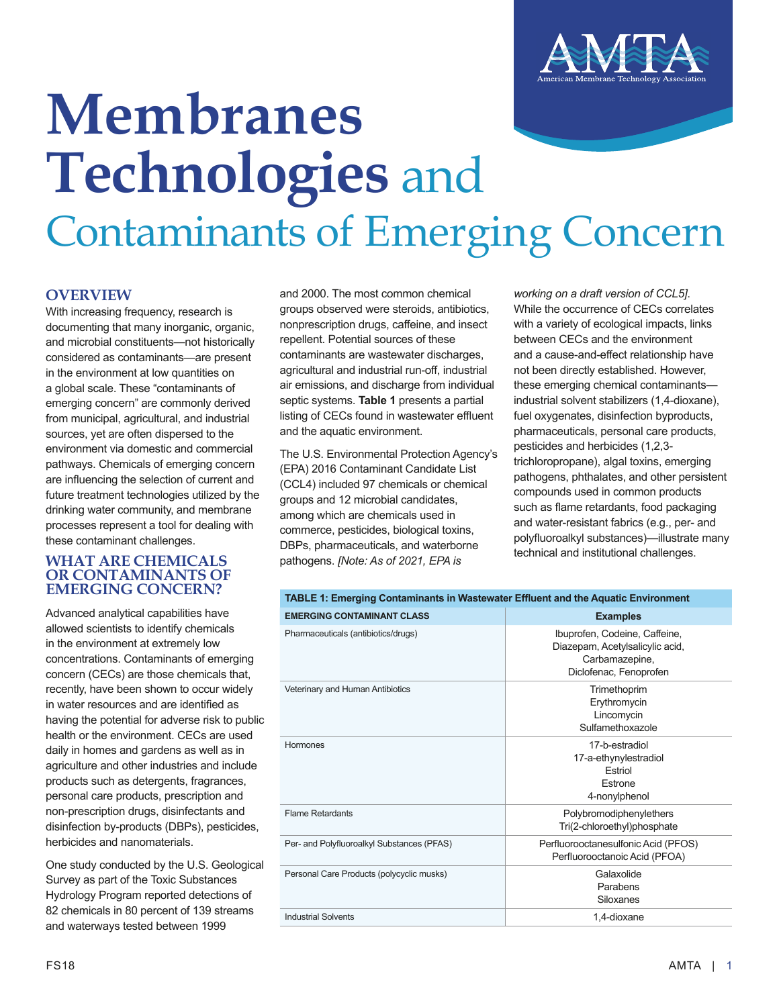

# **Membranes Technologies** and Contaminants of Emerging Concern

### **OVERVIEW**

With increasing frequency, research is documenting that many inorganic, organic, and microbial constituents—not historically considered as contaminants—are present in the environment at low quantities on a global scale. These "contaminants of emerging concern" are commonly derived from municipal, agricultural, and industrial sources, yet are often dispersed to the environment via domestic and commercial pathways. Chemicals of emerging concern are influencing the selection of current and future treatment technologies utilized by the drinking water community, and membrane processes represent a tool for dealing with these contaminant challenges.

#### **WHAT ARE CHEMICALS OR CONTAMINANTS OF EMERGING CONCERN?**

Advanced analytical capabilities have allowed scientists to identify chemicals in the environment at extremely low concentrations. Contaminants of emerging concern (CECs) are those chemicals that, recently, have been shown to occur widely in water resources and are identified as having the potential for adverse risk to public health or the environment. CECs are used daily in homes and gardens as well as in agriculture and other industries and include products such as detergents, fragrances, personal care products, prescription and non-prescription drugs, disinfectants and disinfection by-products (DBPs), pesticides, herbicides and nanomaterials.

One study conducted by the U.S. Geological Survey as part of the Toxic Substances Hydrology Program reported detections of 82 chemicals in 80 percent of 139 streams and waterways tested between 1999

and 2000. The most common chemical groups observed were steroids, antibiotics, nonprescription drugs, caffeine, and insect repellent. Potential sources of these contaminants are wastewater discharges, agricultural and industrial run-off, industrial air emissions, and discharge from individual septic systems. **Table 1** presents a partial listing of CECs found in wastewater effluent and the aquatic environment.

The U.S. Environmental Protection Agency's (EPA) 2016 Contaminant Candidate List (CCL4) included 97 chemicals or chemical groups and 12 microbial candidates, among which are chemicals used in commerce, pesticides, biological toxins, DBPs, pharmaceuticals, and waterborne pathogens. *[Note: As of 2021, EPA is* 

*working on a draft version of CCL5]*. While the occurrence of CECs correlates with a variety of ecological impacts, links between CECs and the environment and a cause-and-effect relationship have not been directly established. However, these emerging chemical contaminants industrial solvent stabilizers (1,4-dioxane), fuel oxygenates, disinfection byproducts, pharmaceuticals, personal care products, pesticides and herbicides (1,2,3 trichloropropane), algal toxins, emerging pathogens, phthalates, and other persistent compounds used in common products such as flame retardants, food packaging and water-resistant fabrics (e.g., per- and polyfluoroalkyl substances)—illustrate many technical and institutional challenges.

| TABLE 1: Emerging Contaminants in Wastewater Effluent and the Aquatic Environment |                                                                                                              |  |  |
|-----------------------------------------------------------------------------------|--------------------------------------------------------------------------------------------------------------|--|--|
| <b>EMERGING CONTAMINANT CLASS</b>                                                 | <b>Examples</b>                                                                                              |  |  |
| Pharmaceuticals (antibiotics/drugs)                                               | Ibuprofen, Codeine, Caffeine,<br>Diazepam, Acetylsalicylic acid,<br>Carbamazepine,<br>Diclofenac, Fenoprofen |  |  |
| Veterinary and Human Antibiotics                                                  | Trimethoprim<br>Erythromycin<br>Lincomycin<br>Sulfamethoxazole                                               |  |  |
| Hormones                                                                          | 17-b-estradiol<br>17-a-ethynylestradiol<br>Estriol<br>Estrone<br>4-nonylphenol                               |  |  |
| <b>Flame Retardants</b>                                                           | Polybromodiphenylethers<br>Tri(2-chloroethyl)phosphate                                                       |  |  |
| Per- and Polyfluoroalkyl Substances (PFAS)                                        | Perfluorooctanesulfonic Acid (PFOS)<br>Perfluorooctanoic Acid (PFOA)                                         |  |  |
| Personal Care Products (polycyclic musks)                                         | Galaxolide<br>Parabens<br>Siloxanes                                                                          |  |  |
| <b>Industrial Solvents</b>                                                        | 1,4-dioxane                                                                                                  |  |  |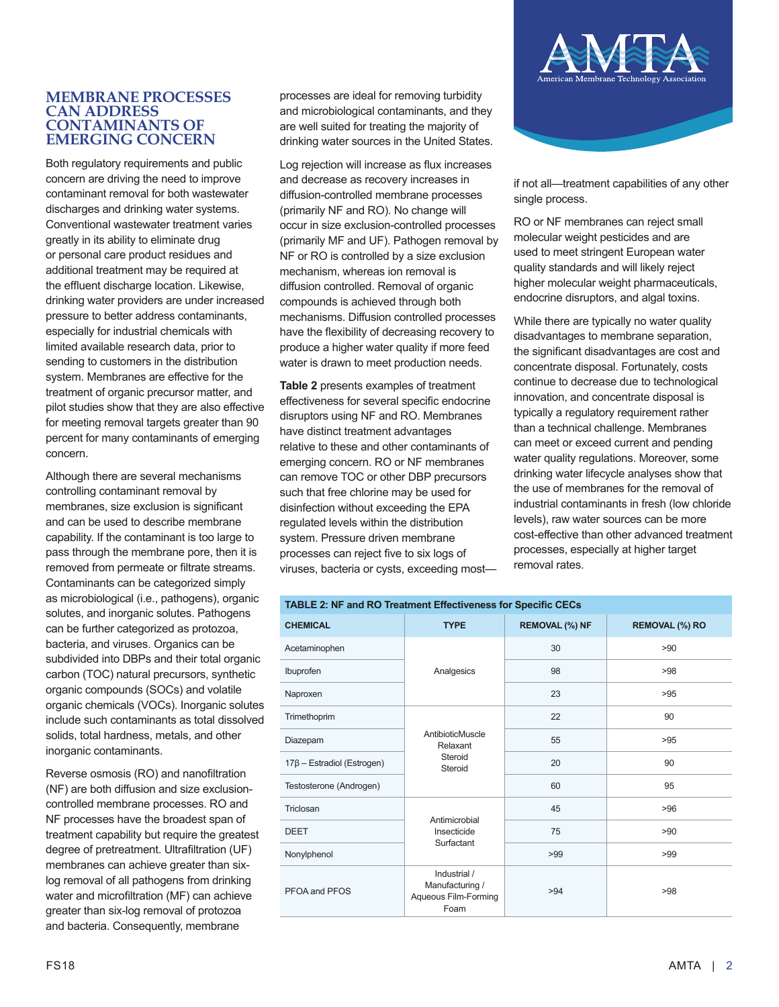#### **MEMBRANE PROCESSES CAN ADDRESS CONTAMINANTS OF EMERGING CONCERN**

Both regulatory requirements and public concern are driving the need to improve contaminant removal for both wastewater discharges and drinking water systems. Conventional wastewater treatment varies greatly in its ability to eliminate drug or personal care product residues and additional treatment may be required at the effluent discharge location. Likewise, drinking water providers are under increased pressure to better address contaminants, especially for industrial chemicals with limited available research data, prior to sending to customers in the distribution system. Membranes are effective for the treatment of organic precursor matter, and pilot studies show that they are also effective for meeting removal targets greater than 90 percent for many contaminants of emerging concern.

Although there are several mechanisms controlling contaminant removal by membranes, size exclusion is significant and can be used to describe membrane capability. If the contaminant is too large to pass through the membrane pore, then it is removed from permeate or filtrate streams. Contaminants can be categorized simply as microbiological (i.e., pathogens), organic solutes, and inorganic solutes. Pathogens can be further categorized as protozoa, bacteria, and viruses. Organics can be subdivided into DBPs and their total organic carbon (TOC) natural precursors, synthetic organic compounds (SOCs) and volatile organic chemicals (VOCs). Inorganic solutes include such contaminants as total dissolved solids, total hardness, metals, and other inorganic contaminants.

Reverse osmosis (RO) and nanofiltration (NF) are both diffusion and size exclusioncontrolled membrane processes. RO and NF processes have the broadest span of treatment capability but require the greatest degree of pretreatment. Ultrafiltration (UF) membranes can achieve greater than sixlog removal of all pathogens from drinking water and microfiltration (MF) can achieve greater than six-log removal of protozoa and bacteria. Consequently, membrane

processes are ideal for removing turbidity and microbiological contaminants, and they are well suited for treating the majority of drinking water sources in the United States.

Log rejection will increase as flux increases and decrease as recovery increases in diffusion-controlled membrane processes (primarily NF and RO). No change will occur in size exclusion-controlled processes (primarily MF and UF). Pathogen removal by NF or RO is controlled by a size exclusion mechanism, whereas ion removal is diffusion controlled. Removal of organic compounds is achieved through both mechanisms. Diffusion controlled processes have the flexibility of decreasing recovery to produce a higher water quality if more feed water is drawn to meet production needs.

**Table 2** presents examples of treatment effectiveness for several specific endocrine disruptors using NF and RO. Membranes have distinct treatment advantages relative to these and other contaminants of emerging concern. RO or NF membranes can remove TOC or other DBP precursors such that free chlorine may be used for disinfection without exceeding the EPA regulated levels within the distribution system. Pressure driven membrane processes can reject five to six logs of viruses, bacteria or cysts, exceeding most—



if not all—treatment capabilities of any other single process.

RO or NF membranes can reject small molecular weight pesticides and are used to meet stringent European water quality standards and will likely reject higher molecular weight pharmaceuticals, endocrine disruptors, and algal toxins.

While there are typically no water quality disadvantages to membrane separation, the significant disadvantages are cost and concentrate disposal. Fortunately, costs continue to decrease due to technological innovation, and concentrate disposal is typically a regulatory requirement rather than a technical challenge. Membranes can meet or exceed current and pending water quality regulations. Moreover, some drinking water lifecycle analyses show that the use of membranes for the removal of industrial contaminants in fresh (low chloride levels), raw water sources can be more cost-effective than other advanced treatment processes, especially at higher target removal rates.

| <b>TABLE 2: NF and RO Treatment Effectiveness for Specific CECs</b> |                                                                 |                       |                       |  |
|---------------------------------------------------------------------|-----------------------------------------------------------------|-----------------------|-----------------------|--|
| <b>CHEMICAL</b>                                                     | <b>TYPE</b>                                                     | <b>REMOVAL (%) NF</b> | <b>REMOVAL (%) RO</b> |  |
| Acetaminophen                                                       | Analgesics                                                      | 30                    | >90                   |  |
| Ibuprofen                                                           |                                                                 | 98                    | >98                   |  |
| Naproxen                                                            |                                                                 | 23                    | >95                   |  |
| Trimethoprim                                                        | AntibioticMuscle<br>Relaxant<br>Steroid<br>Steroid              | 22                    | 90                    |  |
| Diazepam                                                            |                                                                 | 55                    | >95                   |  |
| $17\beta$ - Estradiol (Estrogen)                                    |                                                                 | 20                    | 90                    |  |
| Testosterone (Androgen)                                             |                                                                 | 60                    | 95                    |  |
| Triclosan                                                           | Antimicrobial<br>Insecticide<br>Surfactant                      | 45                    | >96                   |  |
| <b>DEET</b>                                                         |                                                                 | 75                    | >90                   |  |
| Nonylphenol                                                         |                                                                 | >99                   | >99                   |  |
| PFOA and PFOS                                                       | Industrial /<br>Manufacturing /<br>Aqueous Film-Forming<br>Foam | >94                   | >98                   |  |